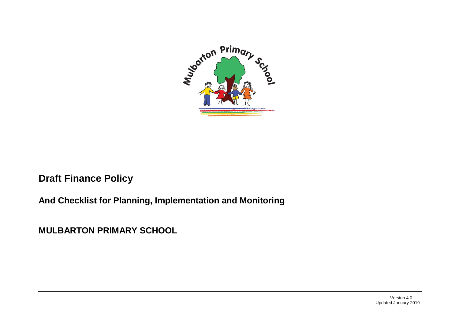

# **Draft Finance Policy**

## **And Checklist for Planning, Implementation and Monitoring**

**MULBARTON PRIMARY SCHOOL**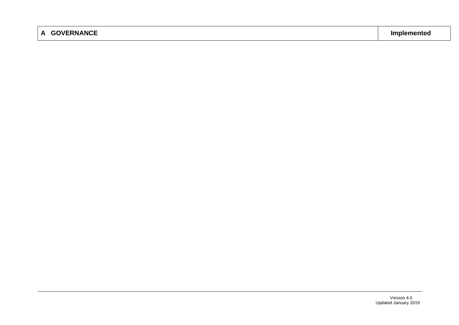## **A GOVERNANCE Implemented**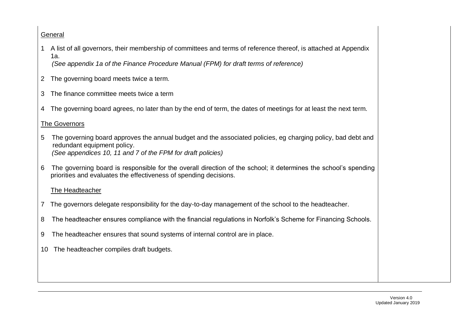### **General**

1 A list of all governors, their membership of committees and terms of reference thereof, is attached at Appendix 1a.

*(See appendix 1a of the Finance Procedure Manual (FPM) for draft terms of reference)*

- 2 The governing board meets twice a term.
- 3 The finance committee meets twice a term
- 4 The governing board agrees, no later than by the end of term, the dates of meetings for at least the next term.

### The Governors

- 5 The governing board approves the annual budget and the associated policies, eg charging policy, bad debt and redundant equipment policy. *(See appendices 10, 11 and 7 of the FPM for draft policies)*
- 6 The governing board is responsible for the overall direction of the school; it determines the school's spending priorities and evaluates the effectiveness of spending decisions.

#### The Headteacher

- 7 The governors delegate responsibility for the day-to-day management of the school to the headteacher.
- 8 The headteacher ensures compliance with the financial regulations in Norfolk's Scheme for Financing Schools.
- 9 The headteacher ensures that sound systems of internal control are in place.
- 10 The headteacher compiles draft budgets.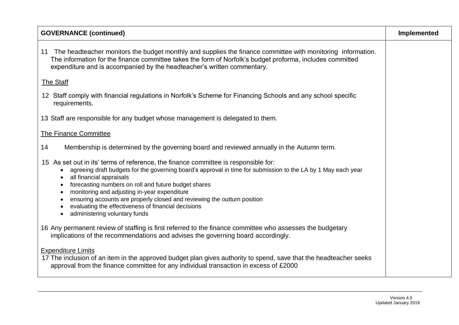| <b>GOVERNANCE (continued)</b>                                                                                                                                                                                                                                                                                                                                                                                                                                                                                             | Implemented |
|---------------------------------------------------------------------------------------------------------------------------------------------------------------------------------------------------------------------------------------------------------------------------------------------------------------------------------------------------------------------------------------------------------------------------------------------------------------------------------------------------------------------------|-------------|
| The headteacher monitors the budget monthly and supplies the finance committee with monitoring information.<br>11<br>The information for the finance committee takes the form of Norfolk's budget proforma, includes committed<br>expenditure and is accompanied by the headteacher's written commentary.                                                                                                                                                                                                                 |             |
| <b>The Staff</b>                                                                                                                                                                                                                                                                                                                                                                                                                                                                                                          |             |
| 12 Staff comply with financial regulations in Norfolk's Scheme for Financing Schools and any school specific<br>requirements.                                                                                                                                                                                                                                                                                                                                                                                             |             |
| 13 Staff are responsible for any budget whose management is delegated to them.                                                                                                                                                                                                                                                                                                                                                                                                                                            |             |
| <b>The Finance Committee</b>                                                                                                                                                                                                                                                                                                                                                                                                                                                                                              |             |
| Membership is determined by the governing board and reviewed annually in the Autumn term.<br>14                                                                                                                                                                                                                                                                                                                                                                                                                           |             |
| 15 As set out in its' terms of reference, the finance committee is responsible for:<br>agreeing draft budgets for the governing board's approval in time for submission to the LA by 1 May each year<br>all financial appraisals<br>forecasting numbers on roll and future budget shares<br>monitoring and adjusting in-year expenditure<br>ensuring accounts are properly closed and reviewing the outturn position<br>evaluating the effectiveness of financial decisions<br>administering voluntary funds<br>$\bullet$ |             |
| 16 Any permanent review of staffing is first referred to the finance committee who assesses the budgetary<br>implications of the recommendations and advises the governing board accordingly.                                                                                                                                                                                                                                                                                                                             |             |
| <b>Expenditure Limits</b><br>17 The inclusion of an item in the approved budget plan gives authority to spend, save that the headteacher seeks<br>approval from the finance committee for any individual transaction in excess of £2000                                                                                                                                                                                                                                                                                   |             |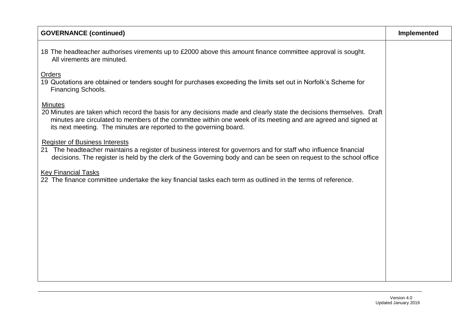| <b>GOVERNANCE (continued)</b>                                                                                                                                                                                                                                                                                                  | Implemented |
|--------------------------------------------------------------------------------------------------------------------------------------------------------------------------------------------------------------------------------------------------------------------------------------------------------------------------------|-------------|
| 18 The headteacher authorises virements up to £2000 above this amount finance committee approval is sought.<br>All virements are minuted.                                                                                                                                                                                      |             |
| <b>Orders</b><br>19 Quotations are obtained or tenders sought for purchases exceeding the limits set out in Norfolk's Scheme for<br><b>Financing Schools.</b>                                                                                                                                                                  |             |
| <b>Minutes</b><br>20 Minutes are taken which record the basis for any decisions made and clearly state the decisions themselves. Draft<br>minutes are circulated to members of the committee within one week of its meeting and are agreed and signed at<br>its next meeting. The minutes are reported to the governing board. |             |
| <b>Register of Business Interests</b><br>21 The headteacher maintains a register of business interest for governors and for staff who influence financial<br>decisions. The register is held by the clerk of the Governing body and can be seen on request to the school office                                                |             |
| <b>Key Financial Tasks</b><br>22 The finance committee undertake the key financial tasks each term as outlined in the terms of reference.                                                                                                                                                                                      |             |
|                                                                                                                                                                                                                                                                                                                                |             |
|                                                                                                                                                                                                                                                                                                                                |             |
|                                                                                                                                                                                                                                                                                                                                |             |
|                                                                                                                                                                                                                                                                                                                                |             |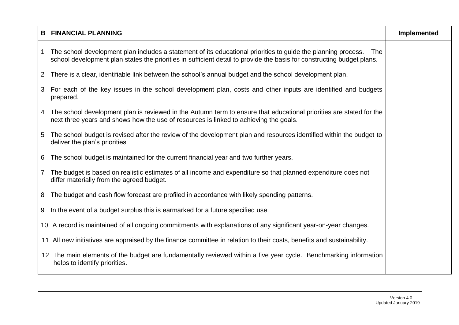|                | <b>B FINANCIAL PLANNING</b>                                                                                                                                                                                                                      | Implemented |
|----------------|--------------------------------------------------------------------------------------------------------------------------------------------------------------------------------------------------------------------------------------------------|-------------|
|                | 1 The school development plan includes a statement of its educational priorities to guide the planning process.<br>The<br>school development plan states the priorities in sufficient detail to provide the basis for constructing budget plans. |             |
| $\overline{2}$ | There is a clear, identifiable link between the school's annual budget and the school development plan.                                                                                                                                          |             |
|                | 3 For each of the key issues in the school development plan, costs and other inputs are identified and budgets<br>prepared.                                                                                                                      |             |
|                | 4 The school development plan is reviewed in the Autumn term to ensure that educational priorities are stated for the<br>next three years and shows how the use of resources is linked to achieving the goals.                                   |             |
|                | 5 The school budget is revised after the review of the development plan and resources identified within the budget to<br>deliver the plan's priorities                                                                                           |             |
| 6              | The school budget is maintained for the current financial year and two further years.                                                                                                                                                            |             |
| $\overline{7}$ | The budget is based on realistic estimates of all income and expenditure so that planned expenditure does not<br>differ materially from the agreed budget.                                                                                       |             |
| 8              | The budget and cash flow forecast are profiled in accordance with likely spending patterns.                                                                                                                                                      |             |
|                | 9 In the event of a budget surplus this is earmarked for a future specified use.                                                                                                                                                                 |             |
|                | 10 A record is maintained of all ongoing commitments with explanations of any significant year-on-year changes.                                                                                                                                  |             |
|                | 11 All new initiatives are appraised by the finance committee in relation to their costs, benefits and sustainability.                                                                                                                           |             |
|                | 12 The main elements of the budget are fundamentally reviewed within a five year cycle. Benchmarking information<br>helps to identify priorities.                                                                                                |             |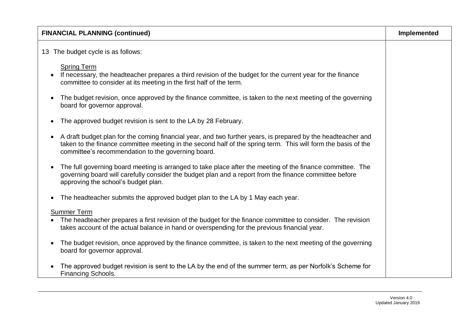| <b>FINANCIAL PLANNING (continued)</b>                                                                                                                                                                                                                                                            | <b>Implemented</b> |
|--------------------------------------------------------------------------------------------------------------------------------------------------------------------------------------------------------------------------------------------------------------------------------------------------|--------------------|
| 13 The budget cycle is as follows:                                                                                                                                                                                                                                                               |                    |
| <b>Spring Term</b><br>If necessary, the headteacher prepares a third revision of the budget for the current year for the finance<br>$\bullet$<br>committee to consider at its meeting in the first half of the term.                                                                             |                    |
| The budget revision, once approved by the finance committee, is taken to the next meeting of the governing<br>$\bullet$<br>board for governor approval.                                                                                                                                          |                    |
| The approved budget revision is sent to the LA by 28 February.<br>$\bullet$                                                                                                                                                                                                                      |                    |
| A draft budget plan for the coming financial year, and two further years, is prepared by the headteacher and<br>$\bullet$<br>taken to the finance committee meeting in the second half of the spring term. This will form the basis of the<br>committee's recommendation to the governing board. |                    |
| The full governing board meeting is arranged to take place after the meeting of the finance committee. The<br>$\bullet$<br>governing board will carefully consider the budget plan and a report from the finance committee before<br>approving the school's budget plan.                         |                    |
| The headteacher submits the approved budget plan to the LA by 1 May each year.<br>٠                                                                                                                                                                                                              |                    |
| <b>Summer Term</b><br>The headteacher prepares a first revision of the budget for the finance committee to consider. The revision<br>takes account of the actual balance in hand or overspending for the previous financial year.                                                                |                    |
| The budget revision, once approved by the finance committee, is taken to the next meeting of the governing<br>$\bullet$<br>board for governor approval.                                                                                                                                          |                    |
| The approved budget revision is sent to the LA by the end of the summer term, as per Norfolk's Scheme for<br>Financing Schools.                                                                                                                                                                  |                    |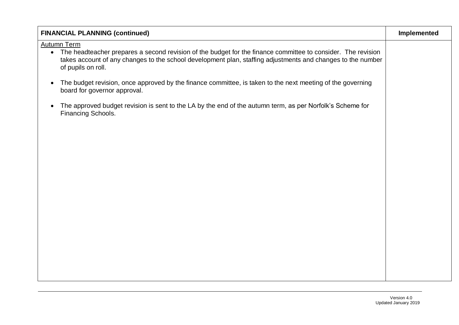| <b>FINANCIAL PLANNING (continued)</b>                                                                                                                                                                                                                                     | Implemented |
|---------------------------------------------------------------------------------------------------------------------------------------------------------------------------------------------------------------------------------------------------------------------------|-------------|
| <b>Autumn Term</b><br>• The headteacher prepares a second revision of the budget for the finance committee to consider. The revision<br>takes account of any changes to the school development plan, staffing adjustments and changes to the number<br>of pupils on roll. |             |
| The budget revision, once approved by the finance committee, is taken to the next meeting of the governing<br>$\bullet$<br>board for governor approval.                                                                                                                   |             |
| The approved budget revision is sent to the LA by the end of the autumn term, as per Norfolk's Scheme for<br>$\bullet$<br>Financing Schools.                                                                                                                              |             |
|                                                                                                                                                                                                                                                                           |             |
|                                                                                                                                                                                                                                                                           |             |
|                                                                                                                                                                                                                                                                           |             |
|                                                                                                                                                                                                                                                                           |             |
|                                                                                                                                                                                                                                                                           |             |
|                                                                                                                                                                                                                                                                           |             |
|                                                                                                                                                                                                                                                                           |             |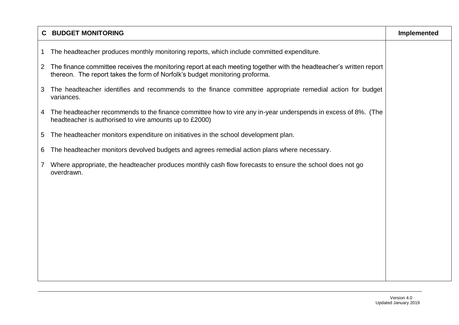|              | <b>C BUDGET MONITORING</b>                                                                                                                                                                           | Implemented |
|--------------|------------------------------------------------------------------------------------------------------------------------------------------------------------------------------------------------------|-------------|
| $\mathbf{1}$ | The headteacher produces monthly monitoring reports, which include committed expenditure.                                                                                                            |             |
|              | 2 The finance committee receives the monitoring report at each meeting together with the headteacher's written report<br>thereon. The report takes the form of Norfolk's budget monitoring proforma. |             |
| 3            | The headteacher identifies and recommends to the finance committee appropriate remedial action for budget<br>variances.                                                                              |             |
| 4            | The headteacher recommends to the finance committee how to vire any in-year underspends in excess of 8%. (The<br>headteacher is authorised to vire amounts up to £2000)                              |             |
| 5            | The headteacher monitors expenditure on initiatives in the school development plan.                                                                                                                  |             |
| 6            | The headteacher monitors devolved budgets and agrees remedial action plans where necessary.                                                                                                          |             |
| 7            | Where appropriate, the headteacher produces monthly cash flow forecasts to ensure the school does not go<br>overdrawn.                                                                               |             |
|              |                                                                                                                                                                                                      |             |
|              |                                                                                                                                                                                                      |             |
|              |                                                                                                                                                                                                      |             |
|              |                                                                                                                                                                                                      |             |
|              |                                                                                                                                                                                                      |             |
|              |                                                                                                                                                                                                      |             |
|              |                                                                                                                                                                                                      |             |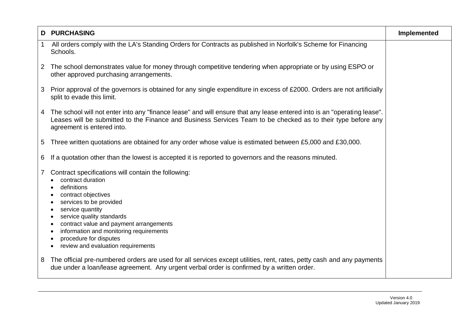|                 | <b>D PURCHASING</b>                                                                                                                                                                                                                                                                                                                                                                          | Implemented |
|-----------------|----------------------------------------------------------------------------------------------------------------------------------------------------------------------------------------------------------------------------------------------------------------------------------------------------------------------------------------------------------------------------------------------|-------------|
| $\overline{1}$  | All orders comply with the LA's Standing Orders for Contracts as published in Norfolk's Scheme for Financing<br>Schools.                                                                                                                                                                                                                                                                     |             |
| $\overline{2}$  | The school demonstrates value for money through competitive tendering when appropriate or by using ESPO or<br>other approved purchasing arrangements.                                                                                                                                                                                                                                        |             |
| 3               | Prior approval of the governors is obtained for any single expenditure in excess of £2000. Orders are not artificially<br>split to evade this limit.                                                                                                                                                                                                                                         |             |
|                 | 4 The school will not enter into any "finance lease" and will ensure that any lease entered into is an "operating lease".<br>Leases will be submitted to the Finance and Business Services Team to be checked as to their type before any<br>agreement is entered into.                                                                                                                      |             |
| $5\overline{)}$ | Three written quotations are obtained for any order whose value is estimated between £5,000 and £30,000.                                                                                                                                                                                                                                                                                     |             |
| 6               | If a quotation other than the lowest is accepted it is reported to governors and the reasons minuted.                                                                                                                                                                                                                                                                                        |             |
| $\overline{7}$  | Contract specifications will contain the following:<br>contract duration<br>definitions<br>contract objectives<br>services to be provided<br>$\bullet$<br>service quantity<br>$\bullet$<br>service quality standards<br>contract value and payment arrangements<br>٠<br>information and monitoring requirements<br>procedure for disputes<br>review and evaluation requirements<br>$\bullet$ |             |
| -8              | The official pre-numbered orders are used for all services except utilities, rent, rates, petty cash and any payments<br>due under a loan/lease agreement. Any urgent verbal order is confirmed by a written order.                                                                                                                                                                          |             |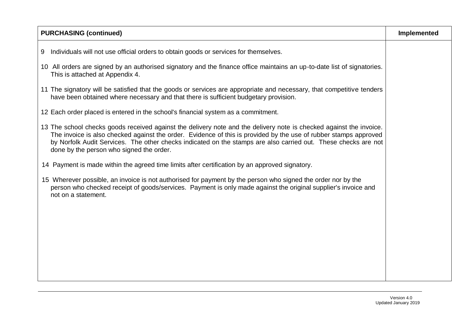| <b>PURCHASING (continued)</b>                                                                                                                                                                                                                                                                                                                                                                         | Implemented |
|-------------------------------------------------------------------------------------------------------------------------------------------------------------------------------------------------------------------------------------------------------------------------------------------------------------------------------------------------------------------------------------------------------|-------------|
| 9 Individuals will not use official orders to obtain goods or services for themselves.                                                                                                                                                                                                                                                                                                                |             |
| 10 All orders are signed by an authorised signatory and the finance office maintains an up-to-date list of signatories.<br>This is attached at Appendix 4.                                                                                                                                                                                                                                            |             |
| 11 The signatory will be satisfied that the goods or services are appropriate and necessary, that competitive tenders<br>have been obtained where necessary and that there is sufficient budgetary provision.                                                                                                                                                                                         |             |
| 12 Each order placed is entered in the school's financial system as a commitment.                                                                                                                                                                                                                                                                                                                     |             |
| 13 The school checks goods received against the delivery note and the delivery note is checked against the invoice.<br>The invoice is also checked against the order. Evidence of this is provided by the use of rubber stamps approved<br>by Norfolk Audit Services. The other checks indicated on the stamps are also carried out. These checks are not<br>done by the person who signed the order. |             |
| 14 Payment is made within the agreed time limits after certification by an approved signatory.                                                                                                                                                                                                                                                                                                        |             |
| 15 Wherever possible, an invoice is not authorised for payment by the person who signed the order nor by the<br>person who checked receipt of goods/services. Payment is only made against the original supplier's invoice and<br>not on a statement.                                                                                                                                                 |             |
|                                                                                                                                                                                                                                                                                                                                                                                                       |             |
|                                                                                                                                                                                                                                                                                                                                                                                                       |             |
|                                                                                                                                                                                                                                                                                                                                                                                                       |             |
|                                                                                                                                                                                                                                                                                                                                                                                                       |             |
|                                                                                                                                                                                                                                                                                                                                                                                                       |             |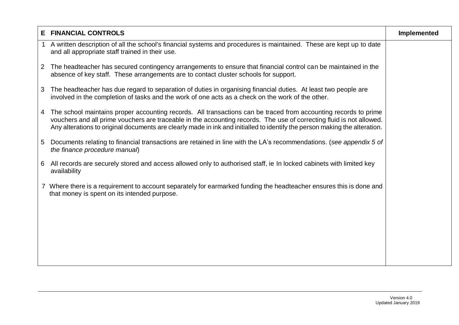| Е              | <b>FINANCIAL CONTROLS</b>                                                                                                                                                                                                                                                                                                                                             | Implemented |
|----------------|-----------------------------------------------------------------------------------------------------------------------------------------------------------------------------------------------------------------------------------------------------------------------------------------------------------------------------------------------------------------------|-------------|
|                | A written description of all the school's financial systems and procedures is maintained. These are kept up to date<br>and all appropriate staff trained in their use.                                                                                                                                                                                                |             |
| $\overline{2}$ | The headteacher has secured contingency arrangements to ensure that financial control can be maintained in the<br>absence of key staff. These arrangements are to contact cluster schools for support.                                                                                                                                                                |             |
| 3              | The headteacher has due regard to separation of duties in organising financial duties. At least two people are<br>involved in the completion of tasks and the work of one acts as a check on the work of the other.                                                                                                                                                   |             |
| 4              | The school maintains proper accounting records. All transactions can be traced from accounting records to prime<br>vouchers and all prime vouchers are traceable in the accounting records. The use of correcting fluid is not allowed.<br>Any alterations to original documents are clearly made in ink and initialled to identify the person making the alteration. |             |
| 5              | Documents relating to financial transactions are retained in line with the LA's recommendations. (see appendix 5 of<br>the finance procedure manual)                                                                                                                                                                                                                  |             |
| 6              | All records are securely stored and access allowed only to authorised staff, ie In locked cabinets with limited key<br>availability                                                                                                                                                                                                                                   |             |
|                | Where there is a requirement to account separately for earmarked funding the headteacher ensures this is done and<br>that money is spent on its intended purpose.                                                                                                                                                                                                     |             |
|                |                                                                                                                                                                                                                                                                                                                                                                       |             |
|                |                                                                                                                                                                                                                                                                                                                                                                       |             |
|                |                                                                                                                                                                                                                                                                                                                                                                       |             |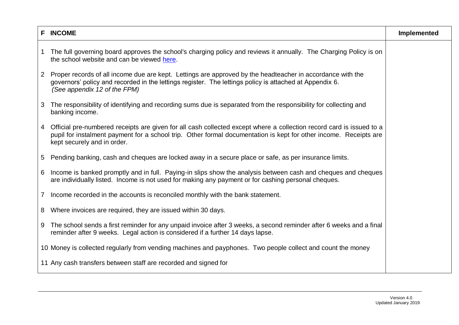|                | <b>F INCOME</b>                                                                                                                                                                                                                                                          | Implemented |
|----------------|--------------------------------------------------------------------------------------------------------------------------------------------------------------------------------------------------------------------------------------------------------------------------|-------------|
| $\mathbf 1$    | The full governing board approves the school's charging policy and reviews it annually. The Charging Policy is on<br>the school website and can be viewed here.                                                                                                          |             |
| $2^{\circ}$    | Proper records of all income due are kept. Lettings are approved by the headteacher in accordance with the<br>governors' policy and recorded in the lettings register. The lettings policy is attached at Appendix 6.<br>(See appendix 12 of the FPM)                    |             |
| 3              | The responsibility of identifying and recording sums due is separated from the responsibility for collecting and<br>banking income.                                                                                                                                      |             |
| 4              | Official pre-numbered receipts are given for all cash collected except where a collection record card is issued to a<br>pupil for instalment payment for a school trip. Other formal documentation is kept for other income. Receipts are<br>kept securely and in order. |             |
| $5^{\circ}$    | Pending banking, cash and cheques are locked away in a secure place or safe, as per insurance limits.                                                                                                                                                                    |             |
| 6              | Income is banked promptly and in full. Paying-in slips show the analysis between cash and cheques and cheques<br>are individually listed. Income is not used for making any payment or for cashing personal cheques.                                                     |             |
| $\overline{7}$ | Income recorded in the accounts is reconciled monthly with the bank statement.                                                                                                                                                                                           |             |
| 8              | Where invoices are required, they are issued within 30 days.                                                                                                                                                                                                             |             |
| 9              | The school sends a first reminder for any unpaid invoice after 3 weeks, a second reminder after 6 weeks and a final<br>reminder after 9 weeks. Legal action is considered if a further 14 days lapse.                                                                    |             |
|                | 10 Money is collected regularly from vending machines and payphones. Two people collect and count the money                                                                                                                                                              |             |
|                | 11 Any cash transfers between staff are recorded and signed for                                                                                                                                                                                                          |             |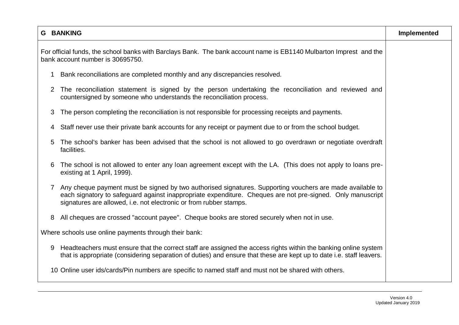|                                                       | <b>G BANKING</b>                                                                                                                                                                                                                                                                              | Implemented |
|-------------------------------------------------------|-----------------------------------------------------------------------------------------------------------------------------------------------------------------------------------------------------------------------------------------------------------------------------------------------|-------------|
|                                                       | For official funds, the school banks with Barclays Bank. The bank account name is EB1140 Mulbarton Imprest and the<br>bank account number is 30695750.                                                                                                                                        |             |
|                                                       | Bank reconciliations are completed monthly and any discrepancies resolved.                                                                                                                                                                                                                    |             |
| 2                                                     | The reconciliation statement is signed by the person undertaking the reconciliation and reviewed and<br>countersigned by someone who understands the reconciliation process.                                                                                                                  |             |
| 3                                                     | The person completing the reconciliation is not responsible for processing receipts and payments.                                                                                                                                                                                             |             |
| 4                                                     | Staff never use their private bank accounts for any receipt or payment due to or from the school budget.                                                                                                                                                                                      |             |
| 5                                                     | The school's banker has been advised that the school is not allowed to go overdrawn or negotiate overdraft<br>facilities.                                                                                                                                                                     |             |
| 6                                                     | The school is not allowed to enter any loan agreement except with the LA. (This does not apply to loans pre-<br>existing at 1 April, 1999).                                                                                                                                                   |             |
| 7                                                     | Any cheque payment must be signed by two authorised signatures. Supporting vouchers are made available to<br>each signatory to safeguard against inappropriate expenditure. Cheques are not pre-signed. Only manuscript<br>signatures are allowed, i.e. not electronic or from rubber stamps. |             |
| 8                                                     | All cheques are crossed "account payee". Cheque books are stored securely when not in use.                                                                                                                                                                                                    |             |
| Where schools use online payments through their bank: |                                                                                                                                                                                                                                                                                               |             |
| 9                                                     | Headteachers must ensure that the correct staff are assigned the access rights within the banking online system<br>that is appropriate (considering separation of duties) and ensure that these are kept up to date i.e. staff leavers.                                                       |             |
|                                                       | 10 Online user ids/cards/Pin numbers are specific to named staff and must not be shared with others.                                                                                                                                                                                          |             |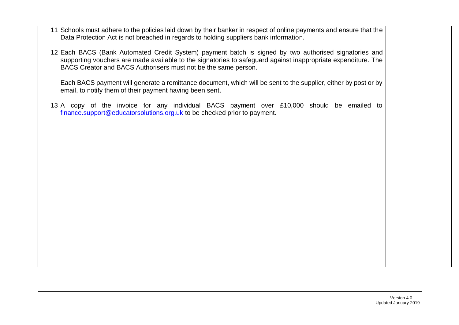- 11 Schools must adhere to the policies laid down by their banker in respect of online payments and ensure that the Data Protection Act is not breached in regards to holding suppliers bank information.
- 12 Each BACS (Bank Automated Credit System) payment batch is signed by two authorised signatories and supporting vouchers are made available to the signatories to safeguard against inappropriate expenditure. The BACS Creator and BACS Authorisers must not be the same person.

Each BACS payment will generate a remittance document, which will be sent to the supplier, either by post or by email, to notify them of their payment having been sent.

13 A copy of the invoice for any individual BACS payment over £10,000 should be emailed to [finance.support@educatorsolutions.org.uk](mailto:finance.support@educatorsolutions.org.uk) to be checked prior to payment.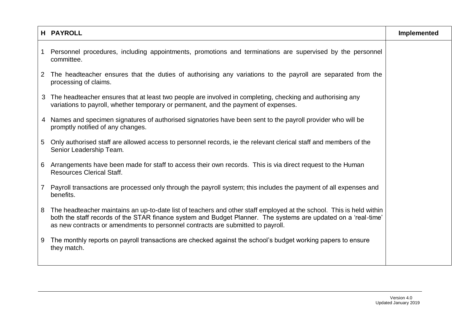|                       | <b>H PAYROLL</b>                                                                                                                                                                                                                                                                                                          | Implemented |
|-----------------------|---------------------------------------------------------------------------------------------------------------------------------------------------------------------------------------------------------------------------------------------------------------------------------------------------------------------------|-------------|
|                       | Personnel procedures, including appointments, promotions and terminations are supervised by the personnel<br>committee.                                                                                                                                                                                                   |             |
| $\mathbf{2}^{\prime}$ | The headteacher ensures that the duties of authorising any variations to the payroll are separated from the<br>processing of claims.                                                                                                                                                                                      |             |
| 3                     | The headteacher ensures that at least two people are involved in completing, checking and authorising any<br>variations to payroll, whether temporary or permanent, and the payment of expenses.                                                                                                                          |             |
|                       | 4 Names and specimen signatures of authorised signatories have been sent to the payroll provider who will be<br>promptly notified of any changes.                                                                                                                                                                         |             |
| 5                     | Only authorised staff are allowed access to personnel records, ie the relevant clerical staff and members of the<br>Senior Leadership Team.                                                                                                                                                                               |             |
|                       | 6 Arrangements have been made for staff to access their own records. This is via direct request to the Human<br><b>Resources Clerical Staff.</b>                                                                                                                                                                          |             |
| 7 <sup>1</sup>        | Payroll transactions are processed only through the payroll system; this includes the payment of all expenses and<br>benefits.                                                                                                                                                                                            |             |
| 8                     | The headteacher maintains an up-to-date list of teachers and other staff employed at the school. This is held within<br>both the staff records of the STAR finance system and Budget Planner. The systems are updated on a 'real-time'<br>as new contracts or amendments to personnel contracts are submitted to payroll. |             |
| 9                     | The monthly reports on payroll transactions are checked against the school's budget working papers to ensure<br>they match.                                                                                                                                                                                               |             |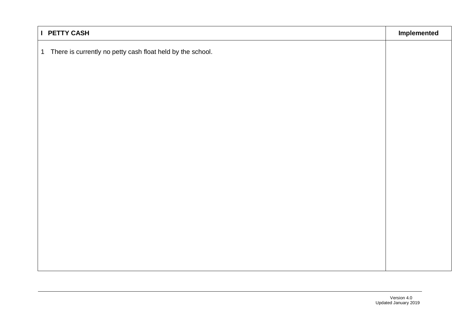| I PETTY CASH                                                 |  |
|--------------------------------------------------------------|--|
| 1 There is currently no petty cash float held by the school. |  |
|                                                              |  |
|                                                              |  |
|                                                              |  |
|                                                              |  |
|                                                              |  |
|                                                              |  |
|                                                              |  |
|                                                              |  |
|                                                              |  |
|                                                              |  |
|                                                              |  |
|                                                              |  |
|                                                              |  |
|                                                              |  |
|                                                              |  |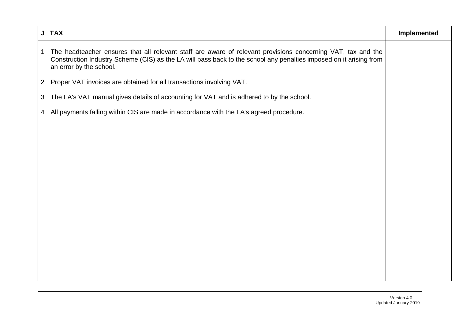|                | J TAX                                                                                                                                                                                                                                                         | Implemented |
|----------------|---------------------------------------------------------------------------------------------------------------------------------------------------------------------------------------------------------------------------------------------------------------|-------------|
| $\mathbf{1}$   | The headteacher ensures that all relevant staff are aware of relevant provisions concerning VAT, tax and the<br>Construction Industry Scheme (CIS) as the LA will pass back to the school any penalties imposed on it arising from<br>an error by the school. |             |
| $\overline{2}$ | Proper VAT invoices are obtained for all transactions involving VAT.                                                                                                                                                                                          |             |
| $\mathbf{3}$   | The LA's VAT manual gives details of accounting for VAT and is adhered to by the school.                                                                                                                                                                      |             |
| 4              | All payments falling within CIS are made in accordance with the LA's agreed procedure.                                                                                                                                                                        |             |
|                |                                                                                                                                                                                                                                                               |             |
|                |                                                                                                                                                                                                                                                               |             |
|                |                                                                                                                                                                                                                                                               |             |
|                |                                                                                                                                                                                                                                                               |             |
|                |                                                                                                                                                                                                                                                               |             |
|                |                                                                                                                                                                                                                                                               |             |
|                |                                                                                                                                                                                                                                                               |             |
|                |                                                                                                                                                                                                                                                               |             |
|                |                                                                                                                                                                                                                                                               |             |
|                |                                                                                                                                                                                                                                                               |             |
|                |                                                                                                                                                                                                                                                               |             |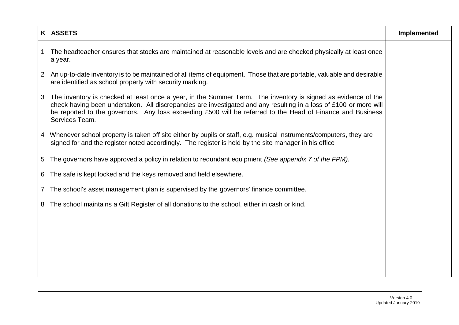|              | K ASSETS                                                                                                                                                                                                                                                                                                                                                           | Implemented |
|--------------|--------------------------------------------------------------------------------------------------------------------------------------------------------------------------------------------------------------------------------------------------------------------------------------------------------------------------------------------------------------------|-------------|
| 1            | The headteacher ensures that stocks are maintained at reasonable levels and are checked physically at least once<br>a year.                                                                                                                                                                                                                                        |             |
| $\mathbf{2}$ | An up-to-date inventory is to be maintained of all items of equipment. Those that are portable, valuable and desirable<br>are identified as school property with security marking.                                                                                                                                                                                 |             |
| 3            | The inventory is checked at least once a year, in the Summer Term. The inventory is signed as evidence of the<br>check having been undertaken. All discrepancies are investigated and any resulting in a loss of £100 or more will<br>be reported to the governors. Any loss exceeding £500 will be referred to the Head of Finance and Business<br>Services Team. |             |
| 4            | Whenever school property is taken off site either by pupils or staff, e.g. musical instruments/computers, they are<br>signed for and the register noted accordingly. The register is held by the site manager in his office                                                                                                                                        |             |
| 5            | The governors have approved a policy in relation to redundant equipment (See appendix 7 of the FPM).                                                                                                                                                                                                                                                               |             |
| 6            | The safe is kept locked and the keys removed and held elsewhere.                                                                                                                                                                                                                                                                                                   |             |
| 7.           | The school's asset management plan is supervised by the governors' finance committee.                                                                                                                                                                                                                                                                              |             |
| 8            | The school maintains a Gift Register of all donations to the school, either in cash or kind.                                                                                                                                                                                                                                                                       |             |
|              |                                                                                                                                                                                                                                                                                                                                                                    |             |
|              |                                                                                                                                                                                                                                                                                                                                                                    |             |
|              |                                                                                                                                                                                                                                                                                                                                                                    |             |
|              |                                                                                                                                                                                                                                                                                                                                                                    |             |
|              |                                                                                                                                                                                                                                                                                                                                                                    |             |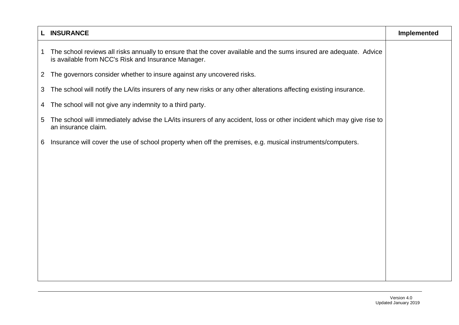|                | <b>INSURANCE</b>                                                                                                                                                          | Implemented |
|----------------|---------------------------------------------------------------------------------------------------------------------------------------------------------------------------|-------------|
| 1              | The school reviews all risks annually to ensure that the cover available and the sums insured are adequate. Advice<br>is available from NCC's Risk and Insurance Manager. |             |
| $\overline{2}$ | The governors consider whether to insure against any uncovered risks.                                                                                                     |             |
| 3 <sup>1</sup> | The school will notify the LA/its insurers of any new risks or any other alterations affecting existing insurance.                                                        |             |
| 4              | The school will not give any indemnity to a third party.                                                                                                                  |             |
| $5^{\circ}$    | The school will immediately advise the LA/its insurers of any accident, loss or other incident which may give rise to<br>an insurance claim.                              |             |
| 6              | Insurance will cover the use of school property when off the premises, e.g. musical instruments/computers.                                                                |             |
|                |                                                                                                                                                                           |             |
|                |                                                                                                                                                                           |             |
|                |                                                                                                                                                                           |             |
|                |                                                                                                                                                                           |             |
|                |                                                                                                                                                                           |             |
|                |                                                                                                                                                                           |             |
|                |                                                                                                                                                                           |             |
|                |                                                                                                                                                                           |             |
|                |                                                                                                                                                                           |             |